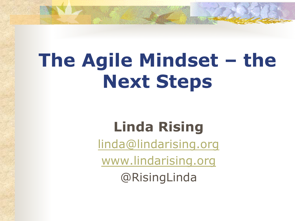# **The Agile Mindset – the Next Steps**

### **Linda Rising**

linda@lindarising.org

www.lindarising.org

@RisingLinda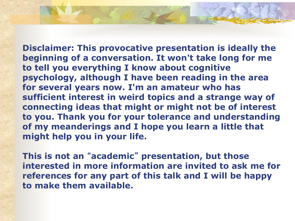**Disclaimer: This provocative presentation is ideally the beginning of a conversation. It won't take long for me to tell you everything I know about cognitive psychology, although I have been reading in the area for several years now. I'm an amateur who has sufficient interest in weird topics and a strange way of connecting ideas that might or might not be of interest to you. Thank you for your tolerance and understanding of my meanderings and I hope you learn a little that might help you in your life.** 

**This is not an** "**academic**" **presentation, but those interested in more information are invited to ask me for references for any part of this talk and I will be happy to make them available.**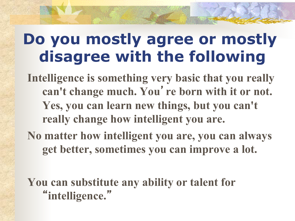## **Do you mostly agree or mostly disagree with the following**

**Intelligence is something very basic that you really can't change much. You**'**re born with it or not. Yes, you can learn new things, but you can't really change how intelligent you are.** 

**No matter how intelligent you are, you can always get better, sometimes you can improve a lot.** 

**You can substitute any ability or talent for**  "**intelligence.**"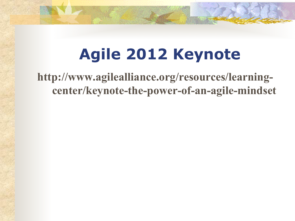## **Agile 2012 Keynote**

**http://www.agilealliance.org/resources/learningcenter/keynote-the-power-of-an-agile-mindset**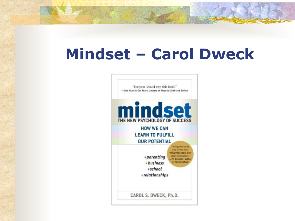## **Mindset – Carol Dweck**

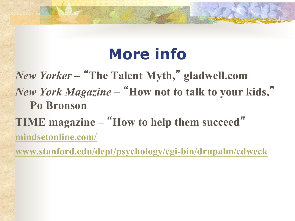## **More info**

*New Yorker* **–**  "**The Talent Myth,**" **gladwell.com**  *New York Magazine* **–**  "**How not to talk to your kids,**" **Po Bronson** 

**TIME magazine –** "**How to help them succeed**" **mindsetonline.com/** 

**www.stanford.edu/dept/psychology/cgi-bin/drupalm/cdweck**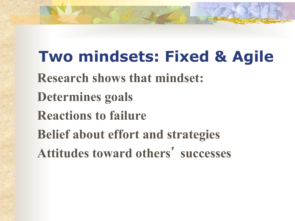**Two mindsets: Fixed & Agile Research shows that mindset: Determines goals Reactions to failure Belief about effort and strategies Attitudes toward others**'  **successes**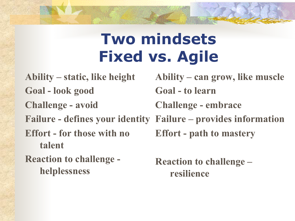## **Two mindsets Fixed vs. Agile**

**Ability – static, like height Goal - look good Challenge - avoid Failure - defines your identity Failure – provides information Effort - for those with no talent Reaction to challenge helplessness** 

**Ability – can grow, like muscle Goal - to learn Challenge - embrace Effort - path to mastery Reaction to challenge –** 

**resilience**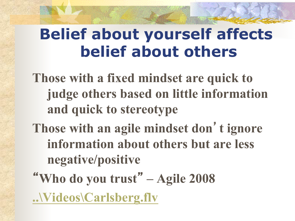## **Belief about yourself affects belief about others**

**Those with a fixed mindset are quick to judge others based on little information and quick to stereotype** 

- **Those with an agile mindset don**'**t ignore information about others but are less negative/positive**
- "**Who do you trust**" **Agile 2008 ..\Videos\Carlsberg.flv**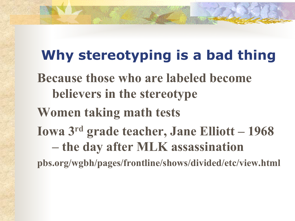#### **Why stereotyping is a bad thing**

**Because those who are labeled become believers in the stereotype** 

**Women taking math tests** 

**Iowa 3rd grade teacher, Jane Elliott – 1968 – the day after MLK assassination** 

**pbs.org/wgbh/pages/frontline/shows/divided/etc/view.html**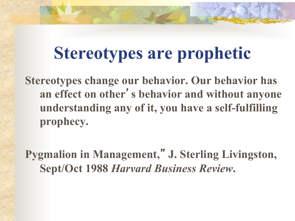## **Stereotypes are prophetic**

**Stereotypes change our behavior. Our behavior has an effect on other**'**s behavior and without anyone understanding any of it, you have a self-fulfilling prophecy.** 

**Pygmalion in Management,**" **J. Sterling Livingston, Sept/Oct 1988** *Harvard Business Review***.**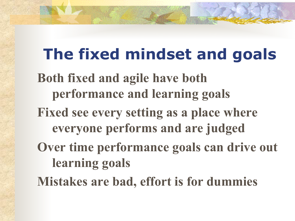## **The fixed mindset and goals**

**Both fixed and agile have both performance and learning goals** 

**Fixed see every setting as a place where everyone performs and are judged** 

**Over time performance goals can drive out learning goals** 

**Mistakes are bad, effort is for dummies**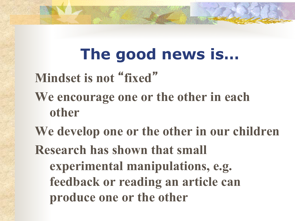## **The good news is…**

## **Mindset is not** "**fixed**"

- **We encourage one or the other in each other**
- **We develop one or the other in our children Research has shown that small experimental manipulations, e.g. feedback or reading an article can produce one or the other**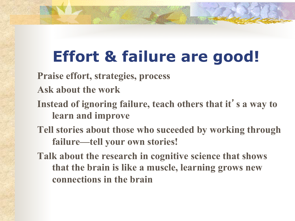## **Effort & failure are good!**

**Praise effort, strategies, process** 

- **Ask about the work**
- **Instead of ignoring failure, teach others that it**'**s a way to learn and improve**
- **Tell stories about those who suceeded by working through failure—tell your own stories!**
- **Talk about the research in cognitive science that shows that the brain is like a muscle, learning grows new connections in the brain**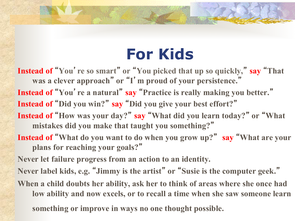## **For Kids**

Instead of "You' re so smart" or "You picked that up so quickly," say "That **was a clever approach**"  **or**  "**I**'**m proud of your persistence.**" **Instead of** "**You**'**re a natural**" **say** "**Practice is really making you better.**" **Instead of** "**Did you win?**" **say** "**Did you give your best effort?**" Instead of "How was your day?" say "What did you learn today?" or "What **mistakes did you make that taught you something?**" **Instead of** "**What do you want to do when you grow up?**" **say** "**What are your plans for reaching your goals?**" **Never let failure progress from an action to an identity. Never label kids, e.g.** "**Jimmy is the artist**"  **or**  "**Susie is the computer geek.**" **When a child doubts her ability, ask her to think of areas where she once had** 

**low ability and now excels, or to recall a time when she saw someone learn** 

**something or improve in ways no one thought possible.**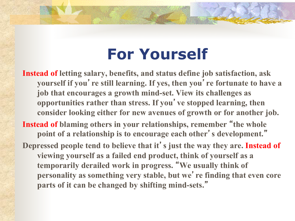## **For Yourself**

**Instead of letting salary, benefits, and status define job satisfaction, ask yourself if you**'**re still learning. If yes, then you**'**re fortunate to have a job that encourages a growth mind-set. View its challenges as opportunities rather than stress. If you**'**ve stopped learning, then consider looking either for new avenues of growth or for another job. Instead of blaming others in your relationships, remember** "**the whole point of a relationship is to encourage each other**'**s development.**"

**Depressed people tend to believe that it**'**s just the way they are. Instead of viewing yourself as a failed end product, think of yourself as a temporarily derailed work in progress.** "**We usually think of personality as something very stable, but we**'**re finding that even core parts of it can be changed by shifting mind-sets.**"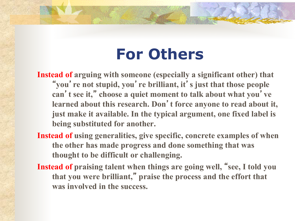## **For Others**

**Instead of arguing with someone (especially a significant other) that**  " **you** '**re not stupid, you**'**re brilliant, it**'**s just that those people can** '**t see it,**" **choose a quiet moment to talk about what you**' **ve learned about this research. Don**'**t force anyone to read about it, just make it available. In the typical argument, one fixed label is being substituted for another.** 

- **Instead of using generalities, give specific, concrete examples of when the other has made progress and done something that was thought to be difficult or challenging.**
- **Instead of praising talent when things are going well,** "**see, I told you that you were brilliant,**" **praise the process and the effort that was involved in the success.**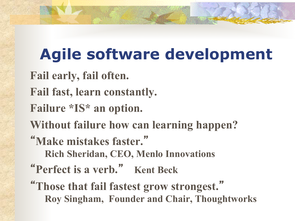## **Agile software development**

- **Fail early, fail often.**
- **Fail fast, learn constantly.**
- **Failure \*IS\* an option.**
- **Without failure how can learning happen?**
- "**Make mistakes faster.**"
	- **Rich Sheridan, CEO, Menlo Innovations**
- "**Perfect is a verb.**" **Kent Beck**
- "**Those that fail fastest grow strongest.**" **Roy Singham, Founder and Chair, Thoughtworks**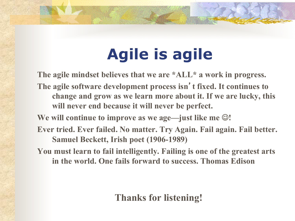## **Agile is agile**

**The agile mindset believes that we are \*ALL\* a work in progress.** 

**The agile software development process isn**'**t fixed. It continues to change and grow as we learn more about it. If we are lucky, this will never end because it will never be perfect.** 

We will continue to improve as we age—just like me  $\odot$ !

**Ever tried. Ever failed. No matter. Try Again. Fail again. Fail better. Samuel Beckett, Irish poet (1906-1989)** 

**You must learn to fail intelligently. Failing is one of the greatest arts in the world. One fails forward to success. Thomas Edison** 

#### **Thanks for listening!**